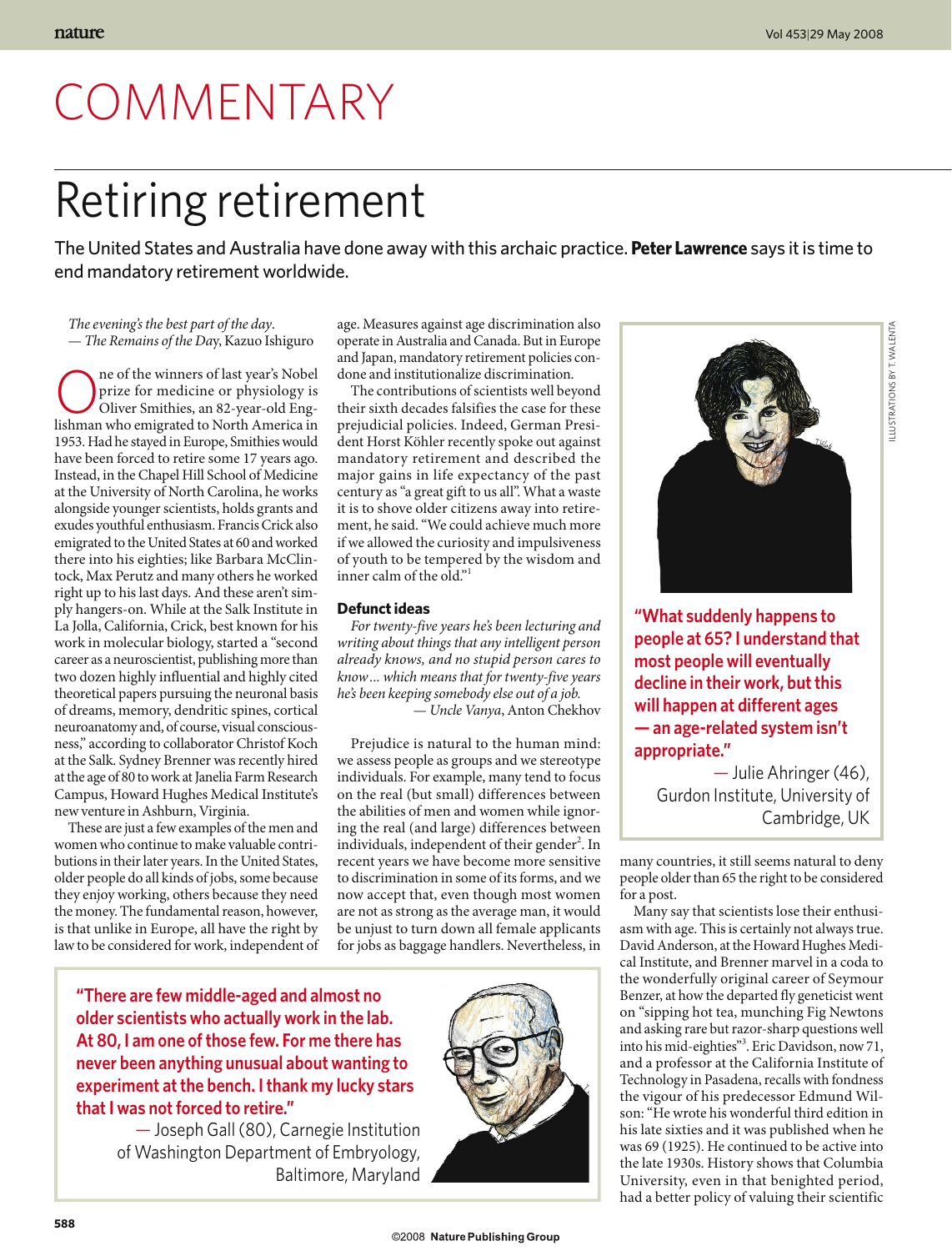# COMMENTARY

## Retiring retirement

The United States and Australia have done away with this archaic practice. **Peter Lawrence** says it is time to end mandatory retirement worldwide.

*The evening's the best part of the day*. — *The Remains of the Da*y, Kazuo Ishiguro

**ORET ONE ONE OREOF SHOP** prize for medicine or physiology is Oliver Smithies, an 82-year-old Eng-<br>lishman who emigrated to North America in prize for medicine or physiology is lishman who emigrated to North America in 1953. Had he stayed in Europe, Smithies would have been forced to retire some 17 years ago. Instead, in the Chapel Hill School of Medicine at the University of North Carolina, he works alongside younger scientists, holds grants and exudes youthful enthusiasm. Francis Crick also emigrated to the United States at 60 and worked there into his eighties; like Barbara McClintock, Max Perutz and many others he worked right up to his last days. And these aren't simply hangers-on. While at the Salk Institute in La Jolla, California, Crick, best known for his work in molecular biology, started a "second career as a neuroscientist, publishing more than two dozen highly influential and highly cited theoretical papers pursuing the neuronal basis of dreams, memory, dendritic spines, cortical neuroanatomy and, of course, visual consciousness," according to collaborator Christof Koch at the Salk. Sydney Brenner was recently hired at the age of 80 to work at Janelia Farm Research Campus, Howard Hughes Medical Institute's new venture in Ashburn, Virginia.

These are just a few examples of the men and women who continue to make valuable contributions in their later years. In the United States, older people do all kinds of jobs, some because they enjoy working, others because they need the money. The fundamental reason, however, is that unlike in Europe, all have the right by law to be considered for work, independent of age. Measures against age discrimination also operate in Australia and Canada. But in Europe and Japan, mandatory retirement policies condone and institutionalize discrimination.

The contributions of scientists well beyond their sixth decades falsifies the case for these prejudicial policies. Indeed, German President Horst Köhler recently spoke out against mandatory retirement and described the major gains in life expectancy of the past century as "a great gift to us all". What a waste it is to shove older citizens away into retirement, he said. "We could achieve much more if we allowed the curiosity and impulsiveness of youth to be tempered by the wisdom and inner calm of the old."

### **Defunct ideas**

*For twenty-five years he's been lecturing and writing about things that any intelligent person already knows, and no stupid person cares to know ... which means that for twenty-five years he's been keeping somebody else out of a job.*

— *Uncle Vanya*, Anton Chekhov

Prejudice is natural to the human mind: we assess people as groups and we stereotype individuals. For example, many tend to focus on the real (but small) differences between the abilities of men and women while ignoring the real (and large) differences between individuals, independent of their gender<sup>2</sup>. In recent years we have become more sensitive to discrimination in some of its forms, and we now accept that, even though most women are not as strong as the average man, it would be unjust to turn down all female applicants for jobs as baggage handlers. Nevertheless, in

**"There are few middle-aged and almost no older scientists who actually work in the lab. At 80, I am one of those few. For me there has never been anything unusual about wanting to experiment at the bench. I thank my lucky stars that I was not forced to retire."**

> — Joseph Gall (80), Carnegie Institution of Washington Department of Embryology, Baltimore, Maryland





**"What suddenly happens to people at 65? I understand that most people will eventually decline in their work, but this will happen at different ages — an age-related system isn't appropriate."**

— Julie Ahringer (46), Gurdon Institute, University of Cambridge, UK

many countries, it still seems natural to deny people older than 65 the right to be considered for a post.

Many say that scientists lose their enthusiasm with age. This is certainly not always true. David Anderson, at the Howard Hughes Medical Institute, and Brenner marvel in a coda to the wonderfully original career of Seymour Benzer, at how the departed fly geneticist went on "sipping hot tea, munching Fig Newtons and asking rare but razor-sharp questions well into his mid-eighties"3 . Eric Davidson, now 71, and a professor at the California Institute of Technology in Pasadena, recalls with fondness the vigour of his predecessor Edmund Wilson: "He wrote his wonderful third edition in his late sixties and it was published when he was 69 (1925). He continued to be active into the late 1930s. History shows that Columbia University, even in that benighted period, had a better policy of valuing their scientific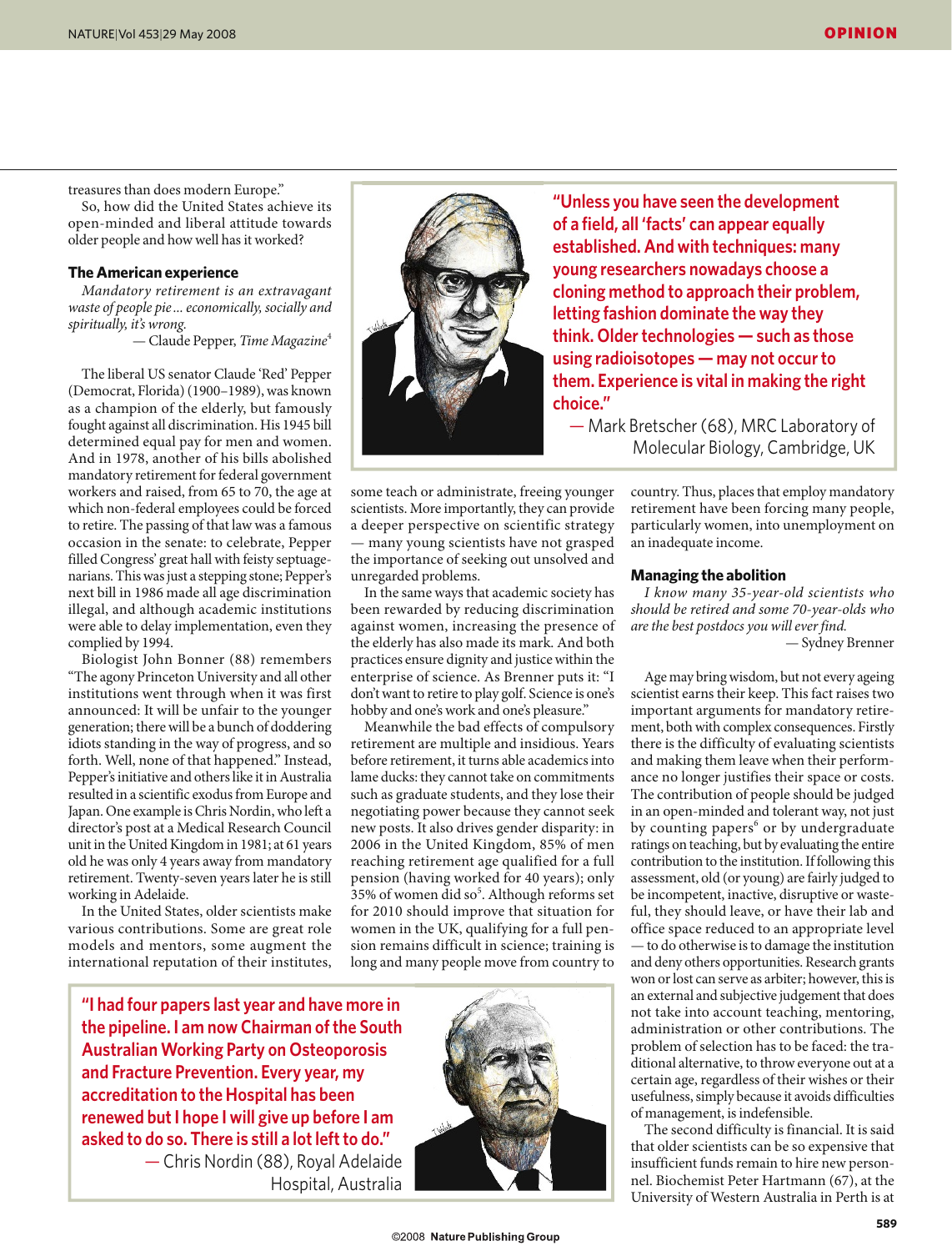treasures than does modern Europe."

So, how did the United States achieve its open-minded and liberal attitude towards older people and how well has it worked?

### **The American experience**

*Mandatory retirement is an extravagant waste of people pie ... economically, socially and spiritually, it's wrong.*

— Claude Pepper, *Time Magazine*<sup>4</sup>

The liberal US senator Claude 'Red' Pepper (Democrat, Florida) (1900–1989), was known as a champion of the elderly, but famously fought against all discrimination. His 1945 bill determined equal pay for men and women. And in 1978, another of his bills abolished mandatory retirement for federal government workers and raised, from 65 to 70, the age at which non-federal employees could be forced to retire. The passing of that law was a famous occasion in the senate: to celebrate, Pepper filled Congress' great hall with feisty septuagenarians. This was just a stepping stone; Pepper's next bill in 1986 made all age discrimination illegal, and although academic institutions were able to delay implementation, even they complied by 1994.

Biologist John Bonner (88) remembers "The agony Princeton University and all other institutions went through when it was first announced: It will be unfair to the younger generation; there will be a bunch of doddering idiots standing in the way of progress, and so forth. Well, none of that happened." Instead, Pepper's initiative and others like it in Australia resulted in a scientific exodus from Europe and Japan. One example is Chris Nordin, who left a director's post at a Medical Research Council unit in the United Kingdom in 1981; at 61 years old he was only 4 years away from mandatory retirement. Twenty-seven years later he is still working in Adelaide.

In the United States, older scientists make various contributions. Some are great role models and mentors, some augment the international reputation of their institutes,



**"Unless you have seen the development of a field, all 'facts' can appear equally established. And with techniques: many young researchers nowadays choose a cloning method to approach their problem, letting fashion dominate the way they think. Older technologies — such as those using radioisotopes — may not occur to them. Experience is vital in making the right choice."**

— Mark Bretscher (68), MRC Laboratory of Molecular Biology, Cambridge, UK

some teach or administrate, freeing younger scientists. More importantly, they can provide a deeper perspective on scientific strategy — many young scientists have not grasped the importance of seeking out unsolved and unregarded problems.

In the same ways that academic society has been rewarded by reducing discrimination against women, increasing the presence of the elderly has also made its mark. And both practices ensure dignity and justice within the enterprise of science. As Brenner puts it: "I don't want to retire to play golf. Science is one's hobby and one's work and one's pleasure."

Meanwhile the bad effects of compulsory retirement are multiple and insidious. Years before retirement, it turns able academics into lame ducks: they cannot take on commitments such as graduate students, and they lose their negotiating power because they cannot seek new posts. It also drives gender disparity: in 2006 in the United Kingdom, 85% of men reaching retirement age qualified for a full pension (having worked for 40 years); only 35% of women did so<sup>5</sup>. Although reforms set for 2010 should improve that situation for women in the UK, qualifying for a full pension remains difficult in science; training is long and many people move from country to

**"I had four papers last year and have more in the pipeline. I am now Chairman of the South Australian Working Party on Osteoporosis and Fracture Prevention. Every year, my accreditation to the Hospital has been renewed but I hope I will give up before I am asked to do so. There is still a lot left to do."** — Chris Nordin (88), Royal Adelaide Hospital, Australia



country. Thus, places that employ mandatory retirement have been forcing many people, particularly women, into unemployment on an inadequate income.

#### **Managing the abolition**

*I know many 35-year-old scientists who should be retired and some 70-year-olds who are the best postdocs you will ever find.* — Sydney Brenner

Age may bring wisdom, but not every ageing scientist earns their keep. This fact raises two important arguments for mandatory retirement, both with complex consequences. Firstly there is the difficulty of evaluating scientists and making them leave when their performance no longer justifies their space or costs. The contribution of people should be judged in an open-minded and tolerant way, not just by counting papers<sup>6</sup> or by undergraduate ratings on teaching, but by evaluating the entire contribution to the institution. If following this assessment, old (or young) are fairly judged to be incompetent, inactive, disruptive or wasteful, they should leave, or have their lab and office space reduced to an appropriate level — to do otherwise is to damage the institution and deny others opportunities. Research grants won or lost can serve as arbiter; however, this is an external and subjective judgement that does not take into account teaching, mentoring, administration or other contributions. The problem of selection has to be faced: the traditional alternative, to throw everyone out at a certain age, regardless of their wishes or their usefulness, simply because it avoids difficulties of management, is indefensible.

The second difficulty is financial. It is said that older scientists can be so expensive that insufficient funds remain to hire new personnel. Biochemist Peter Hartmann (67), at the University of Western Australia in Perth is at